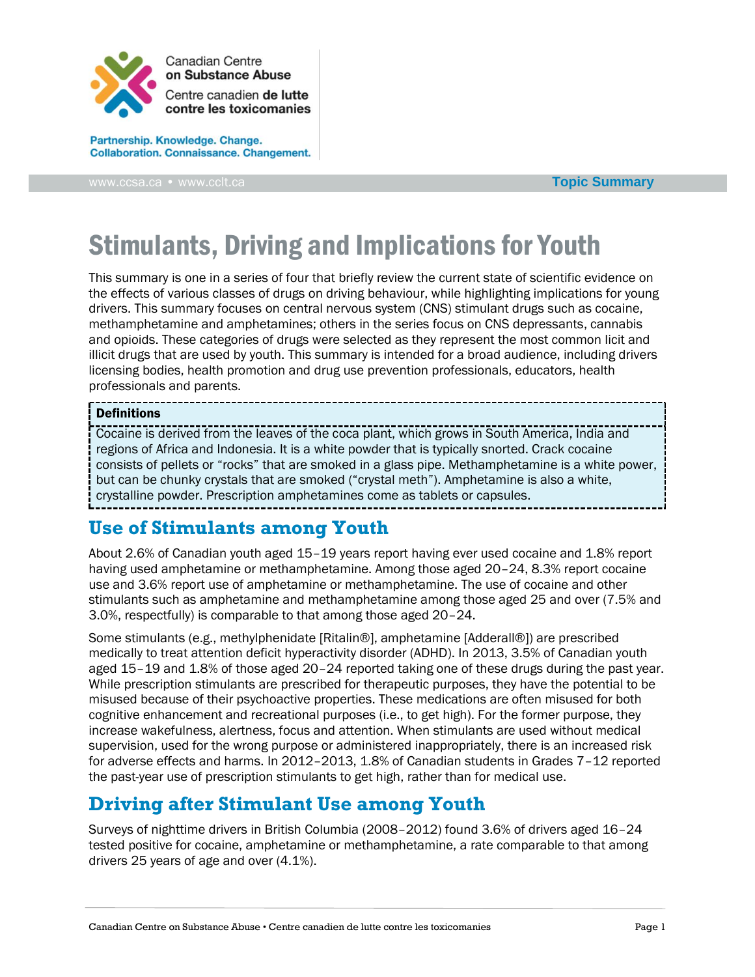

Partnership. Knowledge. Change. **Collaboration. Connaissance. Changement.** 

**Topic [Summary](http://www.ccsa.ca/)**

# Stimulants, Driving and Implications for Youth

This summary is one in a series of four that briefly review the current state of scientific evidence on the effects of various classes of drugs on driving behaviour, while highlighting implications for young drivers. This summary focuses on central nervous system (CNS) stimulant drugs such as cocaine, methamphetamine and amphetamines; others in the series focus on CNS depressants, cannabis and opioids. These categories of drugs were selected as they represent the most common licit and illicit drugs that are used by youth. This summary is intended for a broad audience, including drivers licensing bodies, health promotion and drug use prevention professionals, educators, health professionals and parents.

#### Definitions

Cocaine is derived from the leaves of the coca plant, which grows in South America, India and regions of Africa and Indonesia. It is a white powder that is typically snorted. Crack cocaine consists of pellets or "rocks" that are smoked in a glass pipe. Methamphetamine is a white power, but can be chunky crystals that are smoked ("crystal meth"). Amphetamine is also a white, crystalline powder. Prescription amphetamines come as tablets or capsules.

#### **Use of Stimulants among Youth**

About 2.6% of Canadian youth aged 15–19 years report having ever used cocaine and 1.8% report having used amphetamine or methamphetamine. Among those aged 20-24, 8.3% report cocaine use and 3.6% report use of amphetamine or methamphetamine. The use of cocaine and other stimulants such as amphetamine and methamphetamine among those aged 25 and over (7.5% and 3.0%, respectfully) is comparable to that among those aged 20–24.

Some stimulants (e.g., methylphenidate [Ritalin®], amphetamine [Adderall®]) are prescribed medically to treat attention deficit hyperactivity disorder (ADHD). In 2013, 3.5% of Canadian youth aged 15–19 and 1.8% of those aged 20–24 reported taking one of these drugs during the past year. While prescription stimulants are prescribed for therapeutic purposes, they have the potential to be misused because of their psychoactive properties. These medications are often misused for both cognitive enhancement and recreational purposes (i.e., to get high). For the former purpose, they increase wakefulness, alertness, focus and attention. When stimulants are used without medical supervision, used for the wrong purpose or administered inappropriately, there is an increased risk for adverse effects and harms. In 2012–2013, 1.8% of Canadian students in Grades 7–12 reported the past-year use of prescription stimulants to get high, rather than for medical use.

# **Driving after Stimulant Use among Youth**

Surveys of nighttime drivers in British Columbia (2008–2012) found 3.6% of drivers aged 16–24 tested positive for cocaine, amphetamine or methamphetamine, a rate comparable to that among drivers 25 years of age and over (4.1%).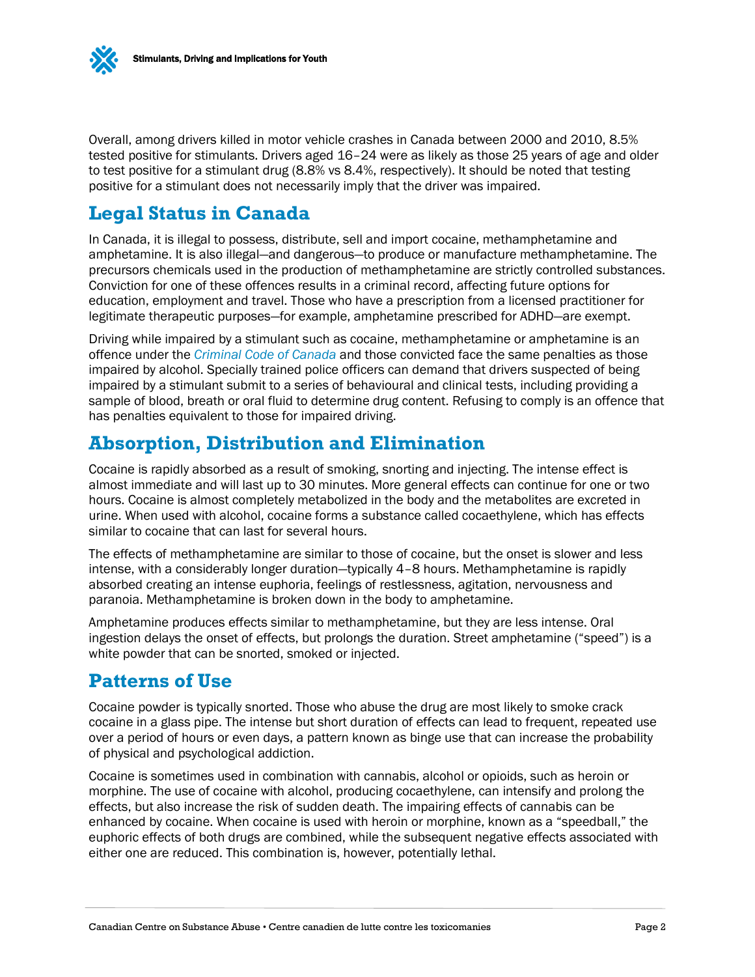

Overall, among drivers killed in motor vehicle crashes in Canada between 2000 and 2010, 8.5% tested positive for stimulants. Drivers aged 16–24 were as likely as those 25 years of age and older to test positive for a stimulant drug (8.8% vs 8.4%, respectively). It should be noted that testing positive for a stimulant does not necessarily imply that the driver was impaired.

#### **Legal Status in Canada**

In Canada, it is illegal to possess, distribute, sell and import cocaine, methamphetamine and amphetamine. It is also illegal—and dangerous—to produce or manufacture methamphetamine. The precursors chemicals used in the production of methamphetamine are strictly controlled substances. Conviction for one of these offences results in a criminal record, affecting future options for education, employment and travel. Those who have a prescription from a licensed practitioner for legitimate therapeutic purposes—for example, amphetamine prescribed for ADHD—are exempt.

Driving while impaired by a stimulant such as cocaine, methamphetamine or amphetamine is an offence under the *[Criminal Code of Canada](http://laws-lois.justice.gc.ca/eng/acts/C-46/)* and those convicted face the same penalties as those impaired by alcohol. Specially trained police officers can demand that drivers suspected of being impaired by a stimulant submit to a series of behavioural and clinical tests, including providing a sample of blood, breath or oral fluid to determine drug content. Refusing to comply is an offence that has penalties equivalent to those for impaired driving.

#### **Absorption, Distribution and Elimination**

Cocaine is rapidly absorbed as a result of smoking, snorting and injecting. The intense effect is almost immediate and will last up to 30 minutes. More general effects can continue for one or two hours. Cocaine is almost completely metabolized in the body and the metabolites are excreted in urine. When used with alcohol, cocaine forms a substance called cocaethylene, which has effects similar to cocaine that can last for several hours.

The effects of methamphetamine are similar to those of cocaine, but the onset is slower and less intense, with a considerably longer duration—typically 4–8 hours. Methamphetamine is rapidly absorbed creating an intense euphoria, feelings of restlessness, agitation, nervousness and paranoia. Methamphetamine is broken down in the body to amphetamine.

Amphetamine produces effects similar to methamphetamine, but they are less intense. Oral ingestion delays the onset of effects, but prolongs the duration. Street amphetamine ("speed") is a white powder that can be snorted, smoked or injected.

#### **Patterns of Use**

Cocaine powder is typically snorted. Those who abuse the drug are most likely to smoke crack cocaine in a glass pipe. The intense but short duration of effects can lead to frequent, repeated use over a period of hours or even days, a pattern known as binge use that can increase the probability of physical and psychological addiction.

Cocaine is sometimes used in combination with cannabis, alcohol or opioids, such as heroin or morphine. The use of cocaine with alcohol, producing cocaethylene, can intensify and prolong the effects, but also increase the risk of sudden death. The impairing effects of cannabis can be enhanced by cocaine. When cocaine is used with heroin or morphine, known as a "speedball," the euphoric effects of both drugs are combined, while the subsequent negative effects associated with either one are reduced. This combination is, however, potentially lethal.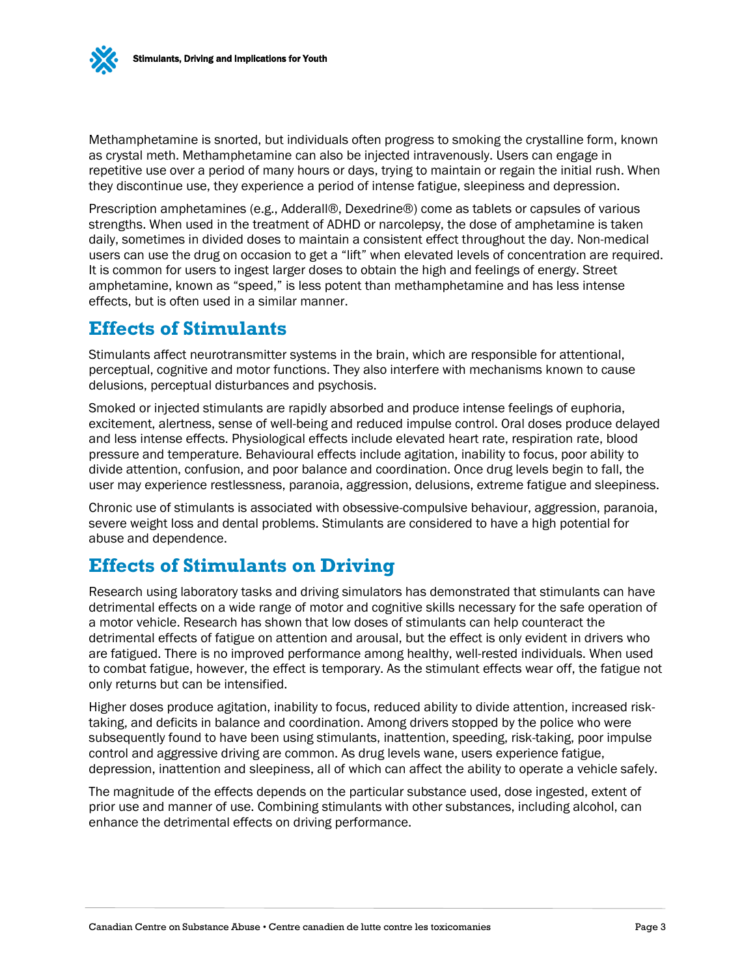

Methamphetamine is snorted, but individuals often progress to smoking the crystalline form, known as crystal meth. Methamphetamine can also be injected intravenously. Users can engage in repetitive use over a period of many hours or days, trying to maintain or regain the initial rush. When they discontinue use, they experience a period of intense fatigue, sleepiness and depression.

Prescription amphetamines (e.g., Adderall®, Dexedrine®) come as tablets or capsules of various strengths. When used in the treatment of ADHD or narcolepsy, the dose of amphetamine is taken daily, sometimes in divided doses to maintain a consistent effect throughout the day. Non-medical users can use the drug on occasion to get a "lift" when elevated levels of concentration are required. It is common for users to ingest larger doses to obtain the high and feelings of energy. Street amphetamine, known as "speed," is less potent than methamphetamine and has less intense effects, but is often used in a similar manner.

#### **Effects of Stimulants**

Stimulants affect neurotransmitter systems in the brain, which are responsible for attentional, perceptual, cognitive and motor functions. They also interfere with mechanisms known to cause delusions, perceptual disturbances and psychosis.

Smoked or injected stimulants are rapidly absorbed and produce intense feelings of euphoria, excitement, alertness, sense of well-being and reduced impulse control. Oral doses produce delayed and less intense effects. Physiological effects include elevated heart rate, respiration rate, blood pressure and temperature. Behavioural effects include agitation, inability to focus, poor ability to divide attention, confusion, and poor balance and coordination. Once drug levels begin to fall, the user may experience restlessness, paranoia, aggression, delusions, extreme fatigue and sleepiness.

Chronic use of stimulants is associated with obsessive-compulsive behaviour, aggression, paranoia, severe weight loss and dental problems. Stimulants are considered to have a high potential for abuse and dependence.

# **Effects of Stimulants on Driving**

Research using laboratory tasks and driving simulators has demonstrated that stimulants can have detrimental effects on a wide range of motor and cognitive skills necessary for the safe operation of a motor vehicle. Research has shown that low doses of stimulants can help counteract the detrimental effects of fatigue on attention and arousal, but the effect is only evident in drivers who are fatigued. There is no improved performance among healthy, well-rested individuals. When used to combat fatigue, however, the effect is temporary. As the stimulant effects wear off, the fatigue not only returns but can be intensified.

Higher doses produce agitation, inability to focus, reduced ability to divide attention, increased risktaking, and deficits in balance and coordination. Among drivers stopped by the police who were subsequently found to have been using stimulants, inattention, speeding, risk-taking, poor impulse control and aggressive driving are common. As drug levels wane, users experience fatigue, depression, inattention and sleepiness, all of which can affect the ability to operate a vehicle safely.

The magnitude of the effects depends on the particular substance used, dose ingested, extent of prior use and manner of use. Combining stimulants with other substances, including alcohol, can enhance the detrimental effects on driving performance.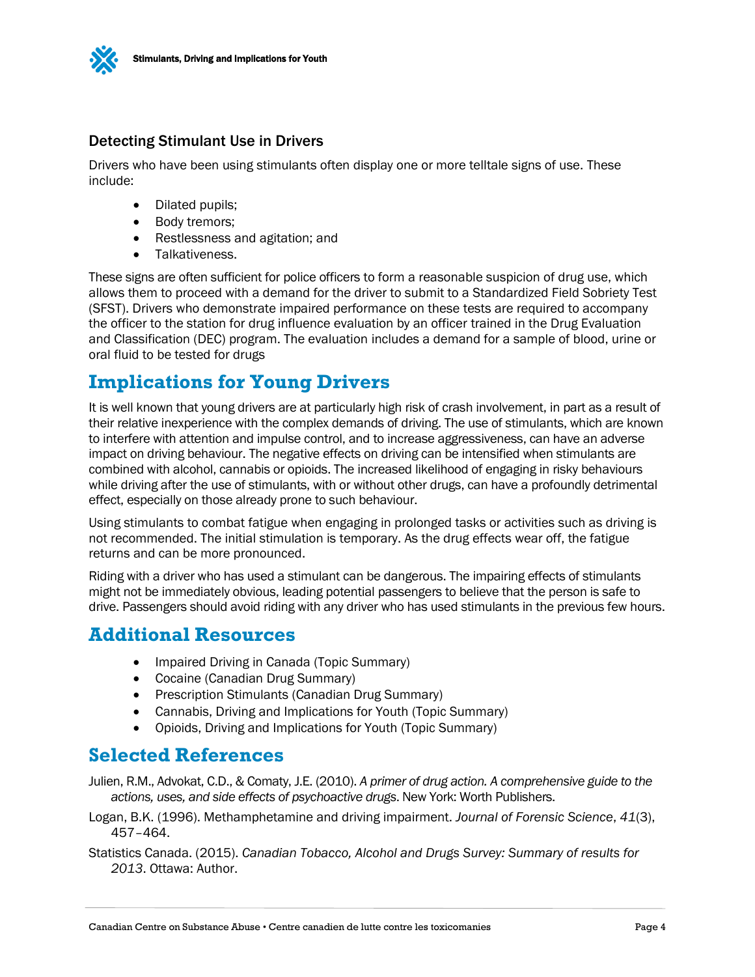

#### Detecting Stimulant Use in Drivers

Drivers who have been using stimulants often display one or more telltale signs of use. These include:

- Dilated pupils;
- Body tremors;
- Restlessness and agitation; and
- **•** Talkativeness.

These signs are often sufficient for police officers to form a reasonable suspicion of drug use, which allows them to proceed with a demand for the driver to submit to a Standardized Field Sobriety Test (SFST). Drivers who demonstrate impaired performance on these tests are required to accompany the officer to the station for drug influence evaluation by an officer trained in the Drug Evaluation and Classification (DEC) program. The evaluation includes a demand for a sample of blood, urine or oral fluid to be tested for drugs

# **Implications for Young Drivers**

It is well known that young drivers are at particularly high risk of crash involvement, in part as a result of their relative inexperience with the complex demands of driving. The use of stimulants, which are known to interfere with attention and impulse control, and to increase aggressiveness, can have an adverse impact on driving behaviour. The negative effects on driving can be intensified when stimulants are combined with alcohol, cannabis or opioids. The increased likelihood of engaging in risky behaviours while driving after the use of stimulants, with or without other drugs, can have a profoundly detrimental effect, especially on those already prone to such behaviour.

Using stimulants to combat fatigue when engaging in prolonged tasks or activities such as driving is not recommended. The initial stimulation is temporary. As the drug effects wear off, the fatigue returns and can be more pronounced.

Riding with a driver who has used a stimulant can be dangerous. The impairing effects of stimulants might not be immediately obvious, leading potential passengers to believe that the person is safe to drive. Passengers should avoid riding with any driver who has used stimulants in the previous few hours.

#### **Additional Resources**

- Impaired Driving in Canada (Topic Summary)
- Cocaine (Canadian Drug Summary)
- Prescription Stimulants (Canadian Drug Summary)
- Cannabis, Driving and Implications for Youth (Topic Summary)
- Opioids, Driving and Implications for Youth (Topic Summary)

#### **Selected References**

- Julien, R.M., Advokat, C.D., & Comaty, J.E. (2010). *A primer of drug action. A comprehensive guide to the actions, uses, and side effects of psychoactive drugs*. New York: Worth Publishers.
- Logan, B.K. (1996). Methamphetamine and driving impairment. *Journal of Forensic Science*, *41*(3), 457–464.
- Statistics Canada. (2015). *Canadian Tobacco, Alcohol and Drugs Survey: Summary of results for 2013*. Ottawa: Author.